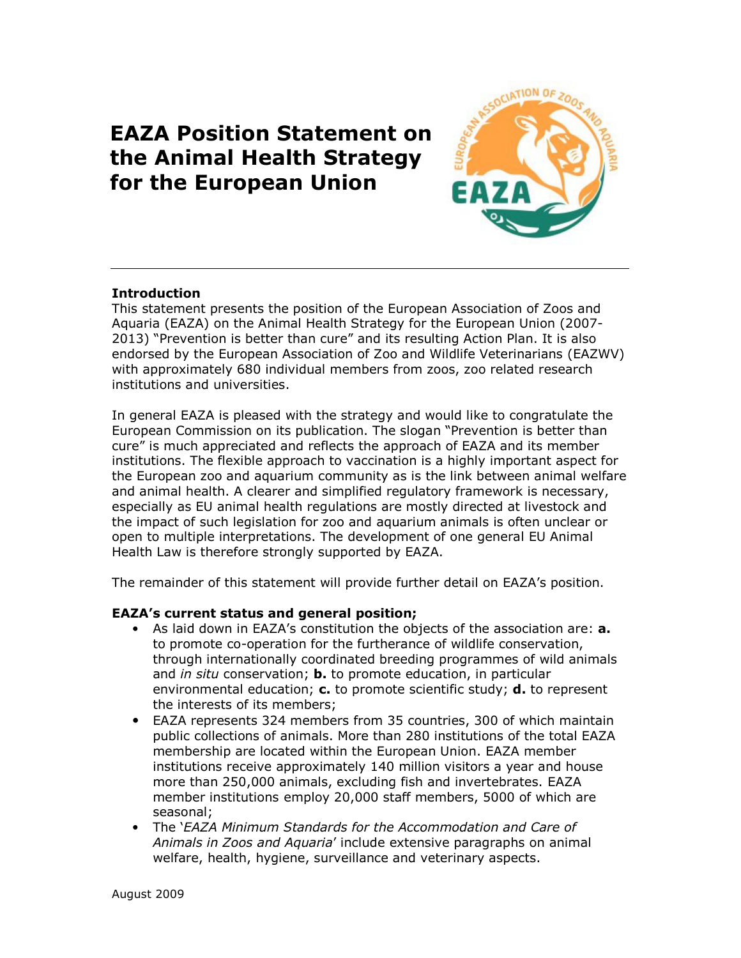# EAZA Position Statement on the Animal Health Strategy for the European Union



# Introduction

This statement presents the position of the European Association of Zoos and Aquaria (EAZA) on the Animal Health Strategy for the European Union (2007- 2013) "Prevention is better than cure" and its resulting Action Plan. It is also endorsed by the European Association of Zoo and Wildlife Veterinarians (EAZWV) with approximately 680 individual members from zoos, zoo related research institutions and universities.

In general EAZA is pleased with the strategy and would like to congratulate the European Commission on its publication. The slogan "Prevention is better than cure" is much appreciated and reflects the approach of EAZA and its member institutions. The flexible approach to vaccination is a highly important aspect for the European zoo and aquarium community as is the link between animal welfare and animal health. A clearer and simplified regulatory framework is necessary, especially as EU animal health regulations are mostly directed at livestock and the impact of such legislation for zoo and aquarium animals is often unclear or open to multiple interpretations. The development of one general EU Animal Health Law is therefore strongly supported by EAZA.

The remainder of this statement will provide further detail on EAZA's position.

# EAZA's current status and general position;

- As laid down in EAZA's constitution the objects of the association are: **a.** to promote co-operation for the furtherance of wildlife conservation, through internationally coordinated breeding programmes of wild animals and in situ conservation; **b.** to promote education, in particular environmental education;  $c$ . to promote scientific study;  $d$ . to represent the interests of its members;
- EAZA represents 324 members from 35 countries, 300 of which maintain public collections of animals. More than 280 institutions of the total EAZA membership are located within the European Union. EAZA member institutions receive approximately 140 million visitors a year and house more than 250,000 animals, excluding fish and invertebrates. EAZA member institutions employ 20,000 staff members, 5000 of which are seasonal;
- The 'EAZA Minimum Standards for the Accommodation and Care of Animals in Zoos and Aquaria' include extensive paragraphs on animal welfare, health, hygiene, surveillance and veterinary aspects.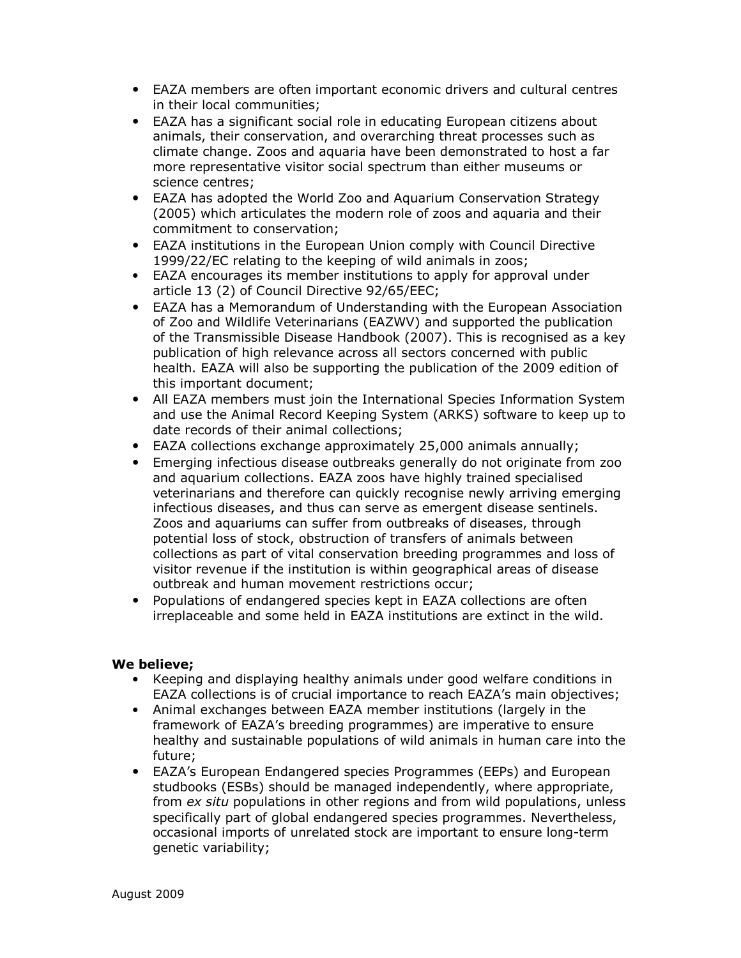- EAZA members are often important economic drivers and cultural centres in their local communities;
- EAZA has a significant social role in educating European citizens about animals, their conservation, and overarching threat processes such as climate change. Zoos and aquaria have been demonstrated to host a far more representative visitor social spectrum than either museums or science centres;
- EAZA has adopted the World Zoo and Aquarium Conservation Strategy (2005) which articulates the modern role of zoos and aquaria and their commitment to conservation;
- EAZA institutions in the European Union comply with Council Directive 1999/22/EC relating to the keeping of wild animals in zoos;
- EAZA encourages its member institutions to apply for approval under article 13 (2) of Council Directive 92/65/EEC;
- EAZA has a Memorandum of Understanding with the European Association of Zoo and Wildlife Veterinarians (EAZWV) and supported the publication of the Transmissible Disease Handbook (2007). This is recognised as a key publication of high relevance across all sectors concerned with public health. EAZA will also be supporting the publication of the 2009 edition of this important document;
- All EAZA members must join the International Species Information System and use the Animal Record Keeping System (ARKS) software to keep up to date records of their animal collections;
- EAZA collections exchange approximately 25,000 animals annually;
- Emerging infectious disease outbreaks generally do not originate from zoo and aquarium collections. EAZA zoos have highly trained specialised veterinarians and therefore can quickly recognise newly arriving emerging infectious diseases, and thus can serve as emergent disease sentinels. Zoos and aquariums can suffer from outbreaks of diseases, through potential loss of stock, obstruction of transfers of animals between collections as part of vital conservation breeding programmes and loss of visitor revenue if the institution is within geographical areas of disease outbreak and human movement restrictions occur;
- Populations of endangered species kept in EAZA collections are often irreplaceable and some held in EAZA institutions are extinct in the wild.

### We believe;

- Keeping and displaying healthy animals under good welfare conditions in EAZA collections is of crucial importance to reach EAZA's main objectives;
- Animal exchanges between EAZA member institutions (largely in the framework of EAZA's breeding programmes) are imperative to ensure healthy and sustainable populations of wild animals in human care into the future;
- EAZA's European Endangered species Programmes (EEPs) and European studbooks (ESBs) should be managed independently, where appropriate, from ex situ populations in other regions and from wild populations, unless specifically part of global endangered species programmes. Nevertheless, occasional imports of unrelated stock are important to ensure long-term genetic variability;